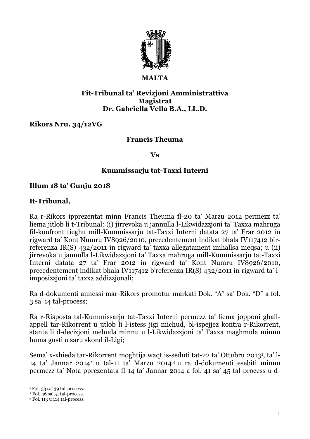

#### **MALTA**

### **Fit-Tribunal ta' Revizjoni Amministrattiva Magistrat Dr. Gabriella Vella B.A., LL.D.**

# **Rikors Nru. 34/12VG**

# **Francis Theuma**

#### **Vs**

### **Kummissarju tat-Taxxi Interni**

### **Illum 18 ta' Gunju 2018**

# **It-Tribunal,**

Ra r-Rikors ipprezentat minn Francis Theuma fl-20 ta' Marzu 2012 permezz ta' liema jitlob li t-Tribunal: (i) jirrevoka u jannulla l-Likwidazzjoni ta' Taxxa mahruga fil-konfront tieghu mill-Kummissarju tat-Taxxi Interni datata 27 ta' Frar 2012 in rigward ta' Kont Numru IV8926/2010, precedentement indikat bhala IV117412 birreferenza IR(S) 432/2011 in rigward ta' taxxa allegatament imhallsa nieqsa; u (ii) jirrevoka u jannulla l-Likwidazzjoni ta' Taxxa mahruga mill-Kummissarju tat-Taxxi Interni datata 27 ta' Frar 2012 in rigward ta' Kont Numru IV8926/2010, precedentement indikat bhala IV117412 b'referenza IR(S) 432/2011 in rigward ta' limposizzjoni ta' taxxa addizzjonali;

Ra d-dokumenti annessi mar-Rikors promotur markati Dok. "A" sa' Dok. "D" a fol. 3 sa' 14 tal-process;

Ra r-Risposta tal-Kummissarju tat-Taxxi Interni permezz ta' liema jopponi ghallappell tar-Rikorrent u jitlob li l-istess jigi michud, bl-ispejjez kontra r-Rikorrent, stante li d-decizjoni mehuda minnu u l-Likwidazzjoni ta' Taxxa maghmula minnu huma gusti u saru skond il-Ligi;

Sema' x-xhieda tar-Rikorrent moghtija waqt is-seduti tat-22 ta' Ottubru 2013<sup>1</sup> , ta' l-14 ta' Jannar 2014<sup>2</sup> u tal-11 ta' Marzu 2014<sup>3</sup> u ra d-dokumenti esebiti minnu permezz ta' Nota pprezentata fl-14 ta' Jannar 2014 a fol. 41 sa' 45 tal-process u d-

<u>.</u>

<sup>1</sup> Fol. 33 sa' 39 tal-process.

 $2$  Fol. 46 sa'  $51$  tal-process.

<sup>3</sup> Fol. 113 u 114 tal-process.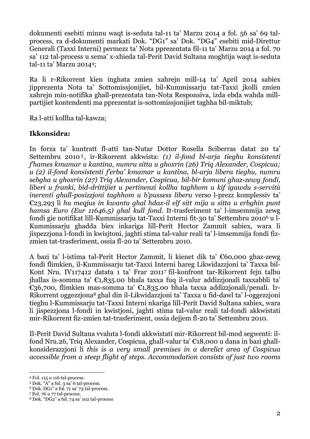dokumenti esebiti minnu waqt is-seduta tal-11 ta' Marzu 2014 a fol. 56 sa' 69 talprocess, ra d-dokumenti markati Dok. "DG1" sa' Dok. "DG4" esebiti mid-Direttur Generali (Taxxi Interni) permezz ta' Nota pprezentata fil-11 ta' Marzu 2014 a fol. 70 sa' 112 tal-process u sema' x-xhieda tal-Perit David Sultana moghtija waqt is-seduta tal-11 ta' Marzu 20144;

Ra li r-Rikorrent kien inghata zmien xahrejn mill-14 ta' April 2014 sabiex jipprezenta Nota ta' Sottomissjonijiet, bil-Kummissarju tat-Taxxi jkolli zmien xahrejn min-notifika ghall-prezentata tan-Nota Responsiva, izda ebda wahda millpartijiet kontendenti ma pprezentat is-sottomissjonijiet taghha bil-miktub;

Ra l-atti kollha tal-kawza;

# **Ikkonsidra:**

In forza ta' kuntratt fl-atti tan-Nutar Dottor Rosella Sciberras datat 20 ta' Settembru 2010 <sup>5</sup> , ir-Rikorrent akkwista: *(1) il-fond bl-arja tieghu konsistenti f'hames kmamar u kantina, numru sitta u ghoxrin (26) Triq Alexander, Cospicua; u (2) il-fond konsistenti f'erba' kmamar u kantina, bl-arja libera tieghu, numru sebgha u ghoxrin (27) Triq Alexander, Cospicua, bil-bir komuni ghaz-zewg fondi, liberi u franki, bid-drittijiet u pertinenzi kollha taghhom u kif igawdu s-servitù inerenti ghall-posizzjoni taghhom u b'pussess liberu* verso l-prezz komplessiv ta' €23,293 li *hu meqjus in kwantu ghal hdax-il elf sitt mija u sitta u erbghin punt hamsa Euro (Eur 11646.5) ghal kull fond.* It-trasferiment ta' l-imsemmija zewg fondi gie notifikat lill-Kummissarju tat-Taxxi Interni fit-30 ta' Settembru 2010<sup>6</sup> u l-Kummissarju ghadda biex inkariga lill-Perit Hector Zammit sabiex, wara li jispezzjona l-fondi in kwisjtoni, jaghti stima tal-valur reali ta' l-imsemmija fondi fizzmien tat-trasferiment, ossia fl-20 ta' Settembru 2010.

A bazi ta' l-istima tal-Perit Hector Zammit, li kienet dik ta' €60,000 ghaz-zewg fondi flimkien, il-Kummissarju tat-Taxxi Interni hareg Likwidazzjoni ta' Taxxa bil-Kont Nru. IV117412 datata 1 ta' Frar 2011<sup>7</sup> fil-konfront tar-Rikorrent fejn talbu jhallas is-somma ta' €1,835.00 bhala taxxa fuq il-valur addizzjonali taxxabbli ta' €36,700, flimkien mas-somma ta' €1,835.00 bhala taxxa addizzjonali/penali. Ir-Rikorrent oggezzjona<sup>8</sup> ghal din il-Likwidazzjoni ta' Taxxa u fid-dawl ta' l-oggezzjoni tieghu l-Kummissarju tat-Taxxi Interni nkariga lill-Perit David Sultana sabiex, wara li jispezzjona l-fondi in kwistjoni, jaghti stima tal-valur reali tal-fondi akkwistati mir-Rikorrent fiz-zmien tat-trasferiment, ossia dejjem fl-20 ta' Settembru 2010.

Il-Perit David Sultana vvaluta l-fondi akkwistati mir-Rikorrent bil-mod segwenti: ilfond Nru.26, Triq Alexander, Cospicua, ghall-valur ta' €18,000 u dana in bazi ghallkonsiderazzjoni li *this is a very small premises in a derelict area of Cospicua accessible from a steep flight of steps. Accommodation consists of just two rooms*

<sup>1</sup> <sup>4</sup> Fol. 115 u 116 tal-process.

<sup>5</sup> Dok. "A" a fol. 3 sa' 6 tal-process.

<sup>6</sup> Dok. DG1" a fol. 71 sa' 73 tal-process.

<sup>7</sup> Fol. 76 u 77 tal-process.

<sup>8</sup> Dok. "DG2" a fol. 74 sa' 102 tal-process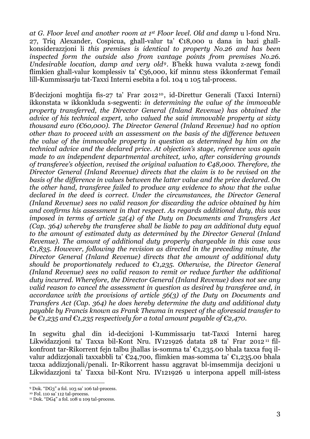*at G. Floor level and another room at 1 st Floor level. Old and damp* u l-fond Nru. 27, Triq Alexander, Cospicua, ghall-valur ta' €18,000 u dana in bazi ghallkonsiderazzjoni li *this premises is identical to property No.26 and has been inspected form the outside also from vantage points from premises No.26. Undesirable location, damp and very old9.* B'hekk huwa vvaluta z-zewg fondi flimkien ghall-valur komplessiv ta'  $\epsilon$ 36,000, kif minnu stess ikkonfermat f'email lill-Kummissarju tat-Taxxi Interni esebita a fol. 104 u 105 tal-process.

B'decizjoni moghtija fis-27 ta' Frar 201210, id-Direttur Generali (Taxxi Interni) ikkonstata w ikkonkluda s-segwenti: *in determining the value of the immovable property transferred, the Director General (Inland Revenue) has obtained the advice of his technical expert, who valued the said immovable property at sixty thousand euro (€60,000). The Director General (Inland Revenue) had no option other than to proceed with an assessment on the basis of the difference between the value of the immovable property in question as determined by him on the technical advice and the declared price. At objection's stage, reference was again made to an independent departmental architect, who, after considering grounds of transferee's objection, revised the original valuation to €48,000. Therefore, the Director General (Inland Revenue) directs that the claim is to be revised on the basis of the difference in values between the latter value and the price declared. On the other hand, transferee failed to produce any evidence to show that the value declared in the deed is correct. Under the circumstances, the Director General (Inland Revenue) sees no valid reason for discarding the advice obtained by him and confirms his assessment in that respect. As regards additional duty, this was imposed in terms of article 52(4) of the Duty on Documents and Transfers Act (Cap. 364) whereby the transferee shall be liable to pay an additional duty equal to the amount of estimated duty as determined by the Director General (Inland Revenue). The amount of additional duty properly chargeable in this case was €1,835. However, following the revision as directed in the preceding minute, the Director General (Inland Revenue) directs that the amount of additional duty should be proportionately reduced to €1,235. Otherwise, the Director General (Inland Revenue) sees no valid reason to remit or reduce further the additional duty incurred. Wherefore, the Director General (Inland Revenue) does not see any valid reason to cancel the assessment in question as desired by transferee and, in accordance with the provisions of article 56(3) of the Duty on Documents and Transfers Act (Cap. 364) he does hereby determine the duty and additional duty payable by Francis known as Frank Theuma in respect of the aforesaid transfer to be €1,235 and €1,235 respectively for a total amount payable of €2,470*.

In segwitu ghal din id-decizjoni l-Kummissarju tat-Taxxi Interni hareg Likwidazzjoni ta' Taxxa bil-Kont Nru. IV121926 datata 28 ta' Frar 2012 <sup>11</sup> filkonfront tar-Rikorrent fejn talbu jhallas is-somma ta' €1,235.00 bhala taxxa fuq ilvalur addizzjonali taxxabbli ta' €24,700, flimkien mas-somma ta' €1,235.00 bhala taxxa addizzjonali/penali. Ir-Rikorrent hassu aggravat bl-imsemmija decizjoni u Likwidazzjoni ta' Taxxa bil-Kont Nru. IV121926 u interpona appell mill-istess

<sup>&</sup>lt;u>.</u> <sup>9</sup> Dok. "DG3" a fol. 103 sa' 106 tal-process.

<sup>10</sup> Fol. 110 sa' 112 tal-process.

<sup>&</sup>lt;sup>11</sup> Dok. "DG4" a fol. 108 u 109 tal-process.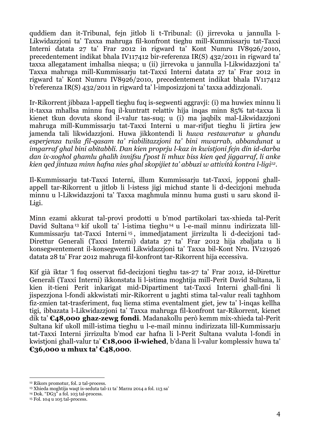quddiem dan it-Tribunal, fejn jitlob li t-Tribunal: (i) jirrevoka u jannulla l-Likwidazzjoni ta' Taxxa mahruga fil-konfront tieghu mill-Kummissarju tat-Taxxi Interni datata 27 ta' Frar 2012 in rigward ta' Kont Numru IV8926/2010, precedentement indikat bhala IV117412 bir-referenza IR(S) 432/2011 in rigward ta' taxxa allegatament imhallsa nieqsa; u (ii) jirrevoka u jannulla l-Likwidazzjoni ta' Taxxa mahruga mill-Kummissarju tat-Taxxi Interni datata 27 ta' Frar 2012 in rigward ta' Kont Numru IV8926/2010, precedentement indikat bhala IV117412 b'referenza IR(S) 432/2011 in rigward ta' l-imposizzjoni ta' taxxa addizzjonali.

Ir-Rikorrent jibbaza l-appell tieghu fuq is-segwenti aggravji: (i) ma huwiex minnu li it-taxxa mhallsa minnu fuq il-kuntratt relattiv hija inqas minn 85% tat-taxxa li kienet tkun dovuta skond il-valur tas-suq; u (i) ma jaqbilx mal-Likwidazzjoni mahruga mill-Kummissarju tat-Taxxi Interni u mar-rifjut tieghu li jirtira jew jamenda tali likwidazzjoni. Huwa jikkontendi li *huwa restawratur u ghandu esperjenza twila fil-qasam ta' riabilitazzjoni ta' bini mwarrab, abbandunat u imgarraf ghal bini abitabbli. Dan kien proprju l-kaz in kwistjoni fejn din id-darba dan ix-xoghol ghamlu ghalih innifsu f'post li mhux biss kien qed jiggarraf, li anke kien qed jintuza minn hafna nies ghal skopijiet ta' abbuzi w attività kontra l-ligi12.*

Il-Kummissarju tat-Taxxi Interni, illum Kummissarju tat-Taxxi, jopponi ghallappell tar-Rikorrent u jitlob li l-istess jigi michud stante li d-decizjoni mehuda minnu u l-Likwidazzjoni ta' Taxxa maghmula minnu huma gusti u saru skond il-Ligi.

Minn ezami akkurat tal-provi prodotti u b'mod partikolari tax-xhieda tal-Perit David Sultana<sup>13</sup> kif ukoll ta' l-istima tieghu<sup>14</sup> u l-e-mail minnu indirizzata lill-Kummissarju tat-Taxxi Interni <sup>15</sup> , immedjatament jirrizulta li d-decizjoni tad-Direttur Generali (Taxxi Interni) datata 27 ta' Frar 2012 hija zbaljata u li konsegwentement il-konsegwenti Likwidazzjoni ta' Taxxa bil-Kont Nru. IV121926 datata 28 ta' Frar 2012 mahruga fil-konfront tar-Rikorrent hija eccessiva.

Kif già iktar 'l fuq osservat fid-decizjoni tieghu tas-27 ta' Frar 2012, id-Direttur Generali (Taxxi Interni) ikkonstata li l-istima moghtija mill-Perit David Sultana, li kien it-tieni Perit inkarigat mid-Dipartiment tat-Taxxi Interni ghall-fini li jispezzjona l-fondi akkwistati mir-Rikorrent u jaghti stima tal-valur reali taghhom fiz-zmien tat-trasferiment, fuq liema stima eventalment giet, jew ta' l-inqas kellha tigi, ibbazata l-Likwidazzjoni ta' Taxxa mahruga fil-konfront tar-Rikorrent, kienet dik ta' **€48,000 ghaz-zewg fondi**. Madanakollu però kemm mix-xhieda tal-Perit Sultana kif ukoll mill-istima tieghu u l-e-mail minnu indirizzata lill-Kummissarju tat-Taxxi Interni jirrizulta b'mod car hafna li l-Perit Sultana vvaluta l-fondi in kwistjoni ghall-valur ta' **€18,000 il-wiehed**, b'dana li l-valur komplessiv huwa ta' **€36,000 u mhux ta' €48,000**.

1

<sup>12</sup> Rikors promotur, fol. 2 tal-process.

<sup>13</sup> Xhieda moghtija waqt is-seduta tal-11 ta' Marzu 2014 a fol. 113 sa'

 $14$  Dok. "DG3" a fol. 103 tal-process.

<sup>15</sup> Fol. 104 u 105 tal-process.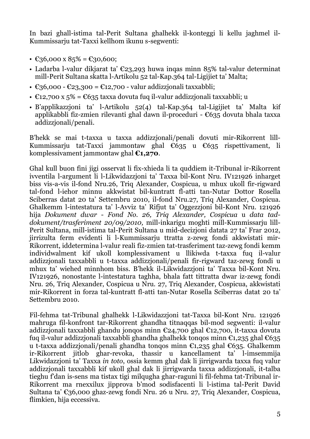In bazi ghall-istima tal-Perit Sultana ghalhekk il-konteggi li kellu jaghmel il-Kummissarju tat-Taxxi kellhom ikunu s-segwenti:

- $\text{\textsterling}36,000 \text{ x } 85\% = \text{\textsterling}30,600;$
- Ladarba l-valur dikjarat ta'  $\epsilon_{23,293}$  huwa ingas minn 85% tal-valur determinat mill-Perit Sultana skatta l-Artikolu 52 tal-Kap.364 tal-Ligijiet ta' Malta;
- $\epsilon$ 36,000  $\epsilon$ 23,300 =  $\epsilon$ 12,700 valur addizzionali taxxabbli;
- $\epsilon$ 12,700 x 5% =  $\epsilon$ 635 taxxa dovuta fuq il-valur addizzjonali taxxabbli; u
- B'applikazzjoni ta' l-Artikolu 52(4) tal-Kap.364 tal-Ligijiet ta' Malta kif applikabbli fiz-zmien rilevanti ghal dawn il-proceduri -  $\epsilon$ 635 dovuta bhala taxxa addizzjonali/penali.

B'hekk se mai t-taxxa u taxxa addizzjonali/penali dovuti mir-Rikorrent lill-Kummissarju tat-Taxxi jammontaw ghal €635 u €635 rispettivament, li komplessivament jammontaw ghal **€1,270**.

Ghal kull buon fini jigi osservat li fix-xhieda li ta quddiem it-Tribunal ir-Rikorrent ivventila l-argument li l-Likwidazzjoni ta' Taxxa bil-Kont Nru. IV121926 inharget biss vis-a-vis il-fond Nru.26, Triq Alexander, Cospicua, u mhux ukoll fir-rigward tal-fond l-iehor minnu akkwistat bil-kuntratt fl-atti tan-Nutar Dottor Rosella Sciberras datat 20 ta' Settembru 2010, il-fond Nru.27, Triq Alexander, Cospicua. Ghalkemm l-intestatura ta' l-Avviz ta' Rifjut ta' Oggezzjoni bil-Kont Nru. 121926 hija *Dokument dwar - Fond No. 26, Triq Alexander, Cospicua* u *data taddokument/trasferiment 20/09/2010,* mill-inkarigu moghti mill-Kummissarju lill-Perit Sultana, mill-istima tal-Perit Sultana u mid-decizjoni datata 27 ta' Frar 2012, jirrizulta ferm evidenti li l-Kummissarju ttratta z-zewg fondi akkwistati mir-Rikorrent, iddetermina l-valur reali fiz-zmien tat-trasferiment taz-zewg fondi kemm individwalment kif ukoll komplessivament u llikiwda t-taxxa fuq il-valur addizzjonali taxxabbli u t-taxxa addizzjonali/penali fir-rigward taz-zewg fondi u mhux ta' wiehed minnhom biss. B'hekk il-Likwidazzjoni ta' Taxxa bil-Kont Nru. IV121926, nonostante l-intestatura taghha, bhala fatt tittratta dwar iz-zewg fondi Nru. 26, Triq Alexander, Cospicua u Nru. 27, Triq Alexander, Cospicua, akkwistati mir-Rikorrent in forza tal-kuntratt fl-atti tan-Nutar Rosella Sciberras datat 20 ta' Settembru 2010.

Fil-fehma tat-Tribunal ghalhekk l-Likwidazzjoni tat-Taxxa bil-Kont Nru. 121926 mahruga fil-konfront tar-Rikorrent ghandha titnaqqas bil-mod segwenti: il-valur addizzjonali taxxabbli ghandu jonqos minn €24,700 ghal €12,700, it-taxxa dovuta fuq il-valur addizzjonali taxxabbli ghandha ghalhekk tonqos minn €1,235 ghal €635 u t-taxxa addizzjonali/penali ghandha tonqos minn €1,235 ghal €635. Ghalkemm ir-Rikorrent jitlob ghar-revoka, thassir u kancellament ta' l-imsemmija Likwidazzjoni ta' Taxxa *in toto*, ossia kemm ghal dak li jirrigwarda taxxa fuq valur addizzjonali taxxabbli kif ukoll ghal dak li jirrigwarda taxxa addizzjonali, it-talba tieghu f'dan is-sens ma tistax tigi milqugha ghar-raguni li fil-fehma tat-Tribunal ir-Rikorrent ma rnexxilux jipprova b'mod sodisfacenti li l-istima tal-Perit David Sultana ta' €36,000 ghaz-zewg fondi Nru. 26 u Nru. 27, Triq Alexander, Cospicua, flimkien, hija eccessiva.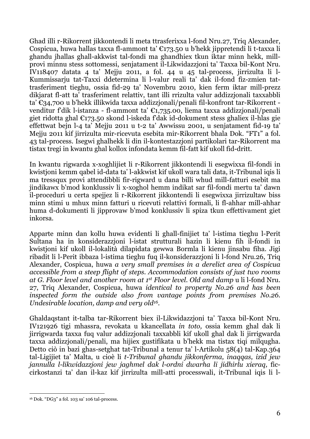Ghad illi r-Rikorrent jikkontendi li meta ttrasferixxa l-fond Nru.27, Triq Alexander, Cospicua, huwa hallas taxxa fl-ammont ta' €173.50 u b'hekk jippretendi li t-taxxa li ghandu jhallas ghall-akkwist tal-fondi ma ghandhiex tkun iktar minn hekk, millprovi minnu stess sottomessi, senjatament il-Likwidazzjoni ta' Taxxa bil-Kont Nru. IV118407 datata 4 ta' Mejju 2011, a fol. 44 u 45 tal-process, jirrizulta li l-Kummissarju tat-Taxxi ddetermina li l-valur reali ta' dak il-fond fiz-zmien tattrasferiment tieghu, ossia fid-29 ta' Novembru 2010, kien ferm iktar mill-prezz dikjarat fl-att ta' trasferiment relattiv, tant illi rrizulta valur addizzjonali taxxabbli ta' €34,700 u b'hekk illikwida taxxa addizzjonali/penali fil-konfront tar-Rikorrent venditur f'dik l-istanza - fl-ammont ta' €1,735.00, liema taxxa addizzjonali/penali giet ridotta ghal €173.50 skond l-iskeda f'dak id-dokument stess ghaliex il-hlas gie effettwat bejn l-4 ta' Mejju 2011 u t-2 ta' Awwissu 2001, u senjatament fid-19 ta' Mejju 2011 kif jirrizulta mir-ricevuta esebita mir-Rikorrent bhala Dok. "FT1" a fol. 43 tal-process. Isegwi ghalhekk li din il-kontestazzjoni partikolari tar-Rikorrent ma tistax tregi in kwantu ghal kollox infondata kemm fil-fatt kif ukoll fid-dritt.

In kwantu rigwarda x-xoghlijiet li r-Rikorrent jikkontendi li esegwixxa fil-fondi in kwistjoni kemm qabel id-data ta' l-akkwist kif ukoll wara tali data, it-Tribunal iqis li ma tressqux provi attendibbli fir-rigward u dana billi whud mill-fatturi esebit ma jindikawx b'mod konklussiv li x-xoghol hemm indikat sar fil-fondi mertu ta' dawn il-proceduri u certa spejjez li r-Rikorrent jikkontendi li esegwixxa jirrizultaw biss minn stimi u mhux minn fatturi u ricevuti relattivi formali, li fl-ahhar mill-ahhar huma d-dokumenti li jipprovaw b'mod konklussiv li spiza tkun effettivament giet inkorsa.

Apparte minn dan kollu huwa evidenti li ghall-finijiet ta' l-istima tieghu l-Perit Sultana ha in konsiderazzjoni l-istat strutturali hazin li kienu fih il-fondi in kwistjoni kif ukoll il-lokalità dilapidata gewwa Bormla li kienu jinsabu fiha. Jigi ribadit li l-Perit ibbaza l-istima tieghu fuq il-konsiderazzjoni li l-fond Nru.26, Triq Alexander, Cospicua, huwa *a very small premises in a derelict area of Cospicua accessible from a steep flight of steps. Accommodation consists of just two rooms at G. Floor level and another room at 1 st Floor level. Old and damp* u li l-fond Nru. 27, Triq Alexander, Cospicua, huwa *identical to property No.26 and has been inspected form the outside also from vantage points from premises No.26. Undesirable location, damp and very old16.*

Ghaldaqstant it-talba tar-Rikorrent biex il-Likwidazzjoni ta' Taxxa bil-Kont Nru. IV121926 tigi mhassra, revokata u kkancellata *in toto,* ossia kemm ghal dak li jirrigwarda taxxa fuq valur addizzjonali taxxabbli kif ukoll ghal dak li jirrigwarda taxxa addizzjonali/penali, ma hijiex gustifikata u b'hekk ma tistax tiqi milqugha. Detto ciò in bazi ghas-setghat tat-Tribunal a tenur ta' l-Artikolu 58(4) tal-Kap.364 tal-Ligijiet ta' Malta, u cioè li *t-Tribunal ghandu jikkonferma, inaqqas, izid jew jannulla l-likwidazzjoni jew jaghmel dak l-ordni dwarha li jidhirlu xieraq,* ficcirkostanzi ta' dan il-kaz kif jirrizulta mill-atti processwali, it-Tribunal iqis li l-

<sup>1</sup> <sup>16</sup> Dok. "DG3" a fol. 103 sa' 106 tal-process.